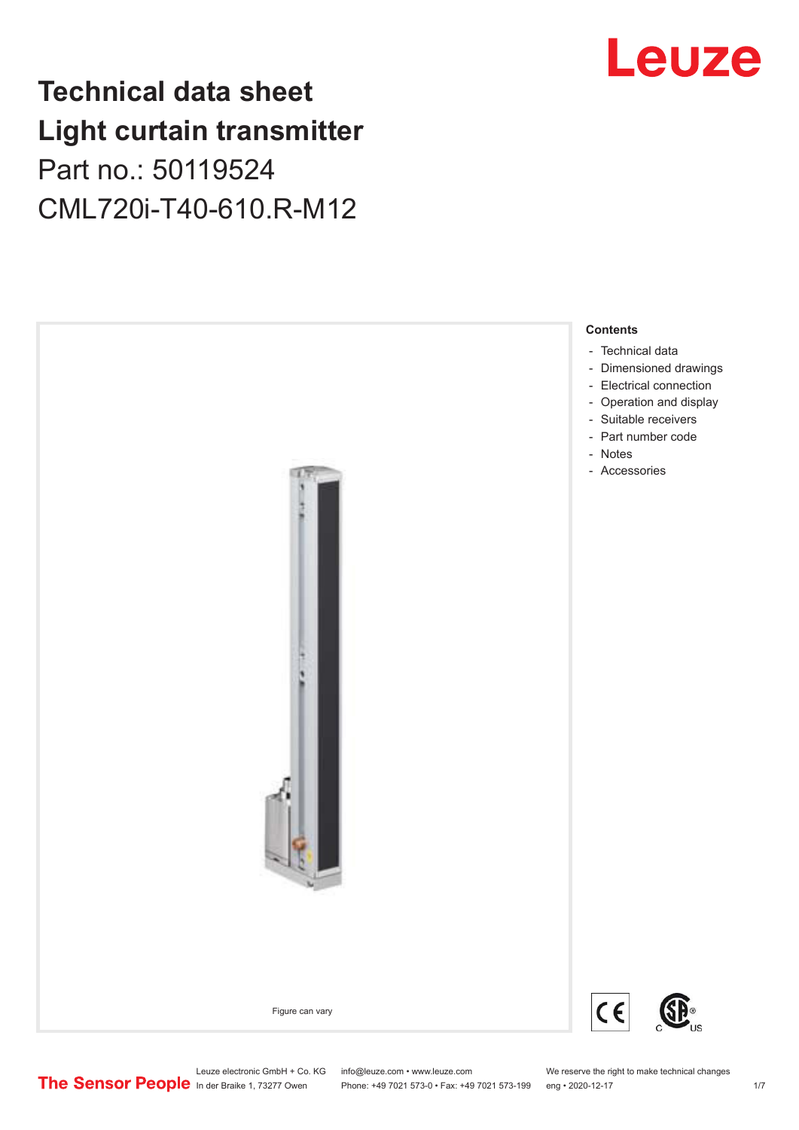## **Technical data sheet Light curtain transmitter** Part no.: 50119524 CML720i-T40-610.R-M12





Phone: +49 7021 573-0 • Fax: +49 7021 573-199 eng • 2020-12-17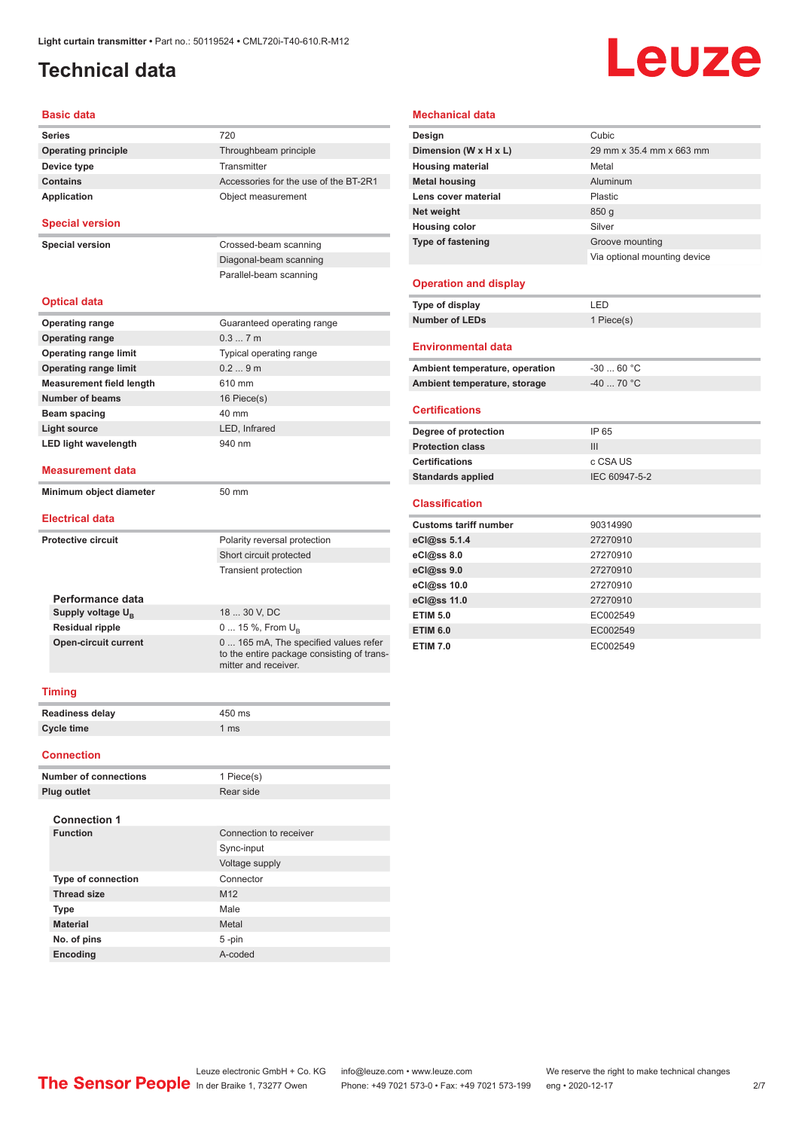## <span id="page-1-0"></span>**Technical data**

# Leuze

#### **Basic data**

| <b>Series</b>                   | 720                                                                                                         |
|---------------------------------|-------------------------------------------------------------------------------------------------------------|
| <b>Operating principle</b>      | Throughbeam principle                                                                                       |
| Device type                     | Transmitter                                                                                                 |
| <b>Contains</b>                 | Accessories for the use of the BT-2R1                                                                       |
| <b>Application</b>              | Object measurement                                                                                          |
|                                 |                                                                                                             |
| <b>Special version</b>          |                                                                                                             |
| <b>Special version</b>          | Crossed-beam scanning                                                                                       |
|                                 | Diagonal-beam scanning                                                                                      |
|                                 | Parallel-beam scanning                                                                                      |
|                                 |                                                                                                             |
| <b>Optical data</b>             |                                                                                                             |
| <b>Operating range</b>          | Guaranteed operating range                                                                                  |
| <b>Operating range</b>          | 0.37m                                                                                                       |
| <b>Operating range limit</b>    | Typical operating range                                                                                     |
| <b>Operating range limit</b>    | 0.29m                                                                                                       |
| <b>Measurement field length</b> | 610 mm                                                                                                      |
| <b>Number of beams</b>          | 16 Piece(s)                                                                                                 |
| Beam spacing                    | 40 mm                                                                                                       |
| <b>Light source</b>             | LED, Infrared                                                                                               |
| <b>LED light wavelength</b>     | 940 nm                                                                                                      |
|                                 |                                                                                                             |
| <b>Measurement data</b>         |                                                                                                             |
| Minimum object diameter         | 50 mm                                                                                                       |
|                                 |                                                                                                             |
| <b>Electrical data</b>          |                                                                                                             |
| <b>Protective circuit</b>       | Polarity reversal protection                                                                                |
|                                 | Short circuit protected                                                                                     |
|                                 | <b>Transient protection</b>                                                                                 |
|                                 |                                                                                                             |
| Performance data                |                                                                                                             |
| Supply voltage U <sub>p</sub>   | 18  30 V, DC                                                                                                |
| <b>Residual ripple</b>          | 0  15 %, From $U_{\rm B}$                                                                                   |
| <b>Open-circuit current</b>     | 0  165 mA, The specified values refer<br>to the entire package consisting of trans-<br>mitter and receiver. |
| <b>Timing</b>                   |                                                                                                             |
| <b>Readiness delay</b>          | 450 ms                                                                                                      |
| <b>Cycle time</b>               | 1 ms                                                                                                        |
|                                 |                                                                                                             |

#### **Connection**

| <b>Number of connections</b> | 1 Piece(s)             |
|------------------------------|------------------------|
| <b>Plug outlet</b>           | Rear side              |
| <b>Connection 1</b>          |                        |
| <b>Function</b>              | Connection to receiver |
|                              | Sync-input             |
|                              | Voltage supply         |
| <b>Type of connection</b>    | Connector              |
| <b>Thread size</b>           | M <sub>12</sub>        |
| <b>Type</b>                  | Male                   |
| <b>Material</b>              | Metal                  |
| No. of pins                  | 5-pin                  |
| Encoding                     | A-coded                |

#### **Mechanical data**

| Design                         | Cubic                        |
|--------------------------------|------------------------------|
| Dimension (W x H x L)          | 29 mm x 35.4 mm x 663 mm     |
| <b>Housing material</b>        | Metal                        |
| <b>Metal housing</b>           | Aluminum                     |
| Lens cover material            | Plastic                      |
| Net weight                     | 850 <sub>g</sub>             |
| <b>Housing color</b>           | Silver                       |
| <b>Type of fastening</b>       | Groove mounting              |
|                                | Via optional mounting device |
|                                |                              |
| <b>Operation and display</b>   |                              |
| Type of display                | LED                          |
| <b>Number of LEDs</b>          | 1 Piece(s)                   |
|                                |                              |
| <b>Environmental data</b>      |                              |
| Ambient temperature, operation | $-30$ 60 °C                  |
| Ambient temperature, storage   | $-40$ 70 °C                  |

#### **Certifications**

| Degree of protection     | IP 65         |
|--------------------------|---------------|
| <b>Protection class</b>  | Ш             |
| <b>Certifications</b>    | c CSA US      |
|                          | IEC 60947-5-2 |
| <b>Standards applied</b> |               |

#### **Classification**

| <b>Customs tariff number</b> | 90314990 |
|------------------------------|----------|
| eCl@ss 5.1.4                 | 27270910 |
| eCl@ss 8.0                   | 27270910 |
| eCl@ss 9.0                   | 27270910 |
| eCl@ss 10.0                  | 27270910 |
| eCl@ss 11.0                  | 27270910 |
| <b>ETIM 5.0</b>              | EC002549 |
| <b>ETIM 6.0</b>              | EC002549 |
| <b>ETIM 7.0</b>              | EC002549 |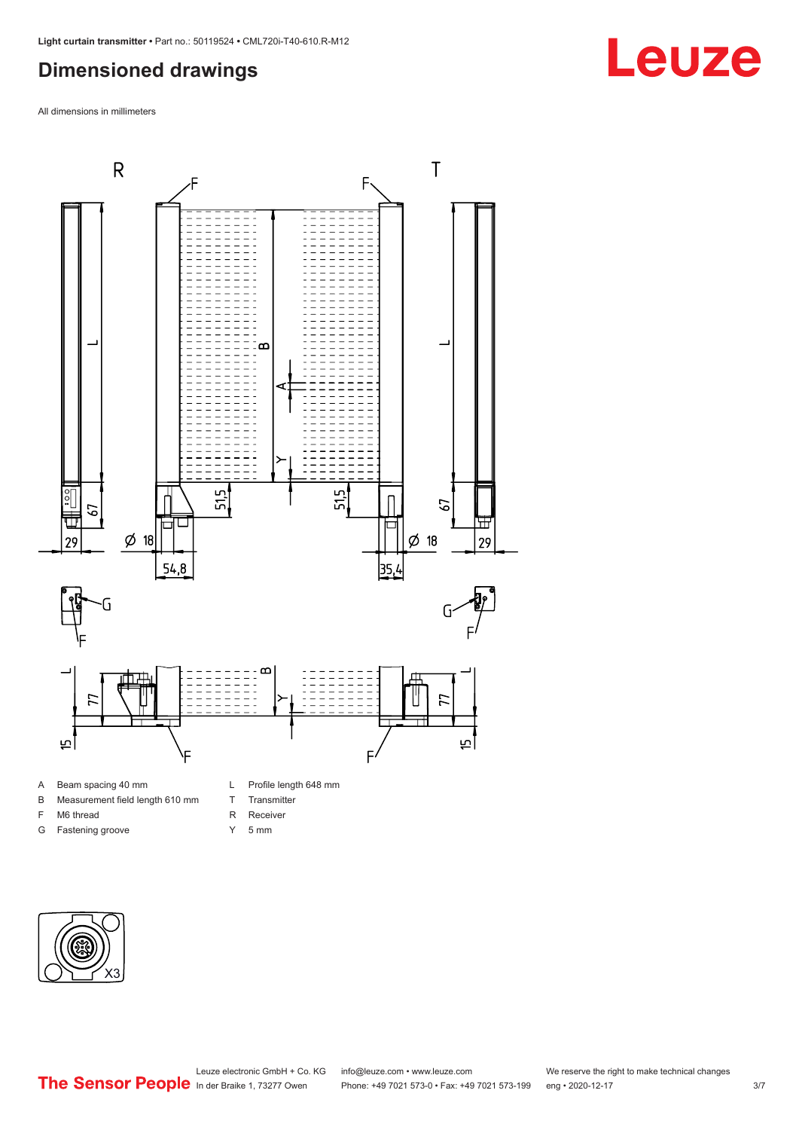## <span id="page-2-0"></span>**Dimensioned drawings**

All dimensions in millimeters



B Measurement field length 610 mm

F M6 thread G Fastening groove

- T Transmitter
- R Receiver
- 
- Y 5 mm



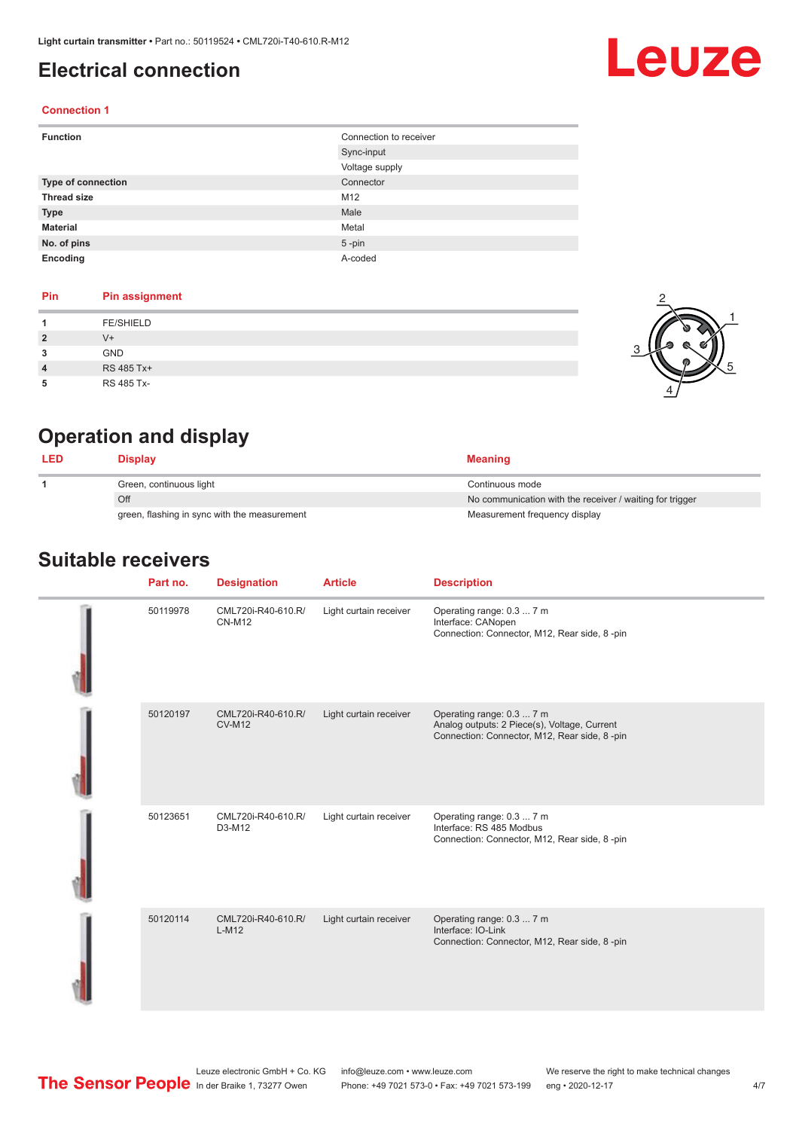### <span id="page-3-0"></span>**Electrical connection**

# Leuze

2

1

5

#### **Connection 1**

| <b>Function</b>           | Connection to receiver |
|---------------------------|------------------------|
|                           | Sync-input             |
|                           | Voltage supply         |
| <b>Type of connection</b> | Connector              |
| <b>Thread size</b>        | M12                    |
| <b>Type</b>               | Male                   |
| <b>Material</b>           | Metal                  |
| No. of pins               | $5$ -pin               |
| Encoding                  | A-coded                |

#### **Pin Pin assignment**

|                | <b>FE/SHIELD</b> |   |
|----------------|------------------|---|
| $\overline{2}$ | $V +$            | G |
| 3              | GND              |   |
| $\overline{4}$ | RS 485 Tx+       |   |
| 5              | RS 485 Tx-       |   |

## **Operation and display**

| <b>LED</b> | Display                                      | <b>Meaning</b>                                           |
|------------|----------------------------------------------|----------------------------------------------------------|
|            | Green, continuous light                      | Continuous mode                                          |
|            | Off                                          | No communication with the receiver / waiting for trigger |
|            | green, flashing in sync with the measurement | Measurement frequency display                            |

#### **Suitable receivers**

| Part no. | <b>Designation</b>                  | <b>Article</b>         | <b>Description</b>                                                                                                        |
|----------|-------------------------------------|------------------------|---------------------------------------------------------------------------------------------------------------------------|
| 50119978 | CML720i-R40-610.R/<br><b>CN-M12</b> | Light curtain receiver | Operating range: 0.3  7 m<br>Interface: CANopen<br>Connection: Connector, M12, Rear side, 8-pin                           |
| 50120197 | CML720i-R40-610.R/<br><b>CV-M12</b> | Light curtain receiver | Operating range: 0.3  7 m<br>Analog outputs: 2 Piece(s), Voltage, Current<br>Connection: Connector, M12, Rear side, 8-pin |
| 50123651 | CML720i-R40-610.R/<br>D3-M12        | Light curtain receiver | Operating range: 0.3  7 m<br>Interface: RS 485 Modbus<br>Connection: Connector, M12, Rear side, 8-pin                     |
| 50120114 | CML720i-R40-610.R/<br>$L-M12$       | Light curtain receiver | Operating range: 0.3  7 m<br>Interface: IO-Link<br>Connection: Connector, M12, Rear side, 8-pin                           |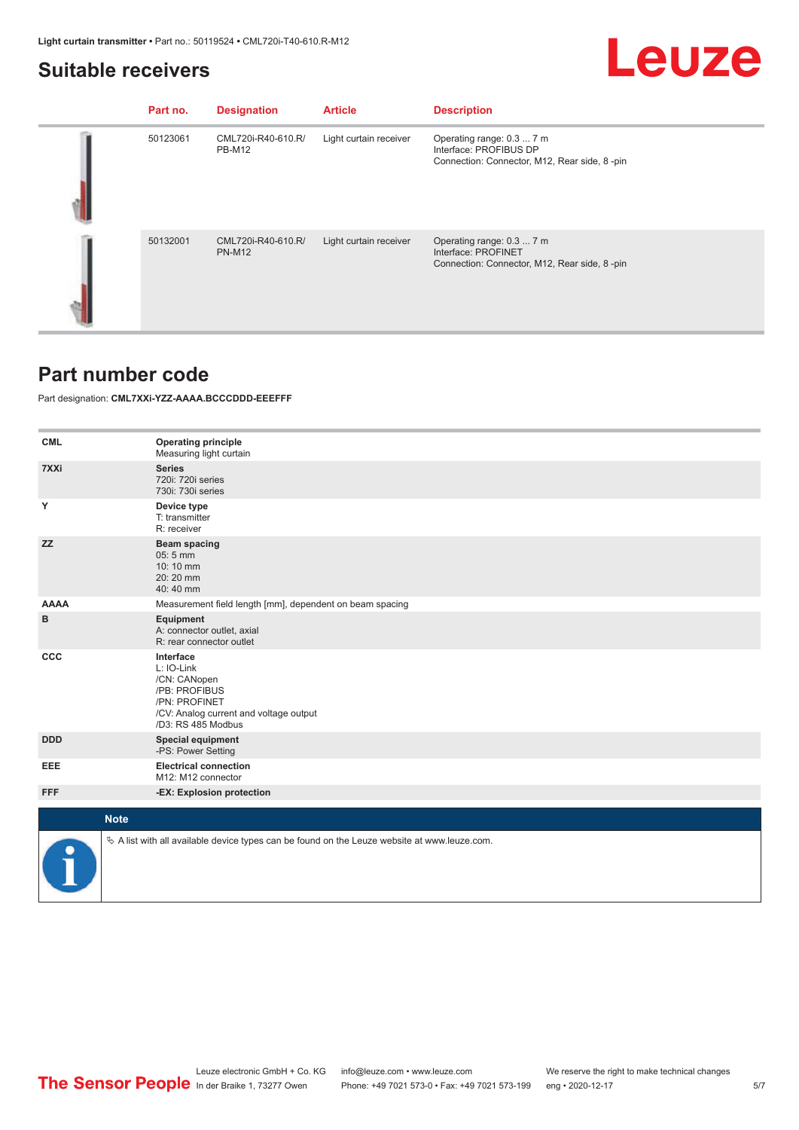### <span id="page-4-0"></span>**Suitable receivers**

|--|--|

| Part no. | <b>Designation</b>                  | <b>Article</b>         | <b>Description</b>                                                                                  |
|----------|-------------------------------------|------------------------|-----------------------------------------------------------------------------------------------------|
| 50123061 | CML720i-R40-610.R/<br><b>PB-M12</b> | Light curtain receiver | Operating range: 0.3  7 m<br>Interface: PROFIBUS DP<br>Connection: Connector, M12, Rear side, 8-pin |
| 50132001 | CML720i-R40-610.R/<br><b>PN-M12</b> | Light curtain receiver | Operating range: 0.3  7 m<br>Interface: PROFINET<br>Connection: Connector, M12, Rear side, 8-pin    |

#### **Part number code**

Part designation: **CML7XXi-YZZ-AAAA.BCCCDDD-EEEFFF**

| <b>CML</b>  | <b>Operating principle</b><br>Measuring light curtain                                                                                     |
|-------------|-------------------------------------------------------------------------------------------------------------------------------------------|
| 7XXi        | <b>Series</b><br>720i: 720i series<br>730i: 730i series                                                                                   |
| Υ           | Device type<br>T: transmitter<br>R: receiver                                                                                              |
| <b>ZZ</b>   | Beam spacing<br>05:5 mm<br>10:10 mm<br>20:20 mm<br>40:40 mm                                                                               |
| <b>AAAA</b> | Measurement field length [mm], dependent on beam spacing                                                                                  |
| в           | Equipment<br>A: connector outlet, axial<br>R: rear connector outlet                                                                       |
| <b>CCC</b>  | Interface<br>L: IO-Link<br>/CN: CANopen<br>/PB: PROFIBUS<br>/PN: PROFINET<br>/CV: Analog current and voltage output<br>/D3: RS 485 Modbus |
| <b>DDD</b>  | <b>Special equipment</b><br>-PS: Power Setting                                                                                            |
| EEE         | <b>Electrical connection</b><br>M12: M12 connector                                                                                        |
| <b>FFF</b>  | -EX: Explosion protection                                                                                                                 |
|             |                                                                                                                                           |
|             | <b>Note</b>                                                                                                                               |
|             | $\&$ A list with all available device types can be found on the Leuze website at www.leuze.com.                                           |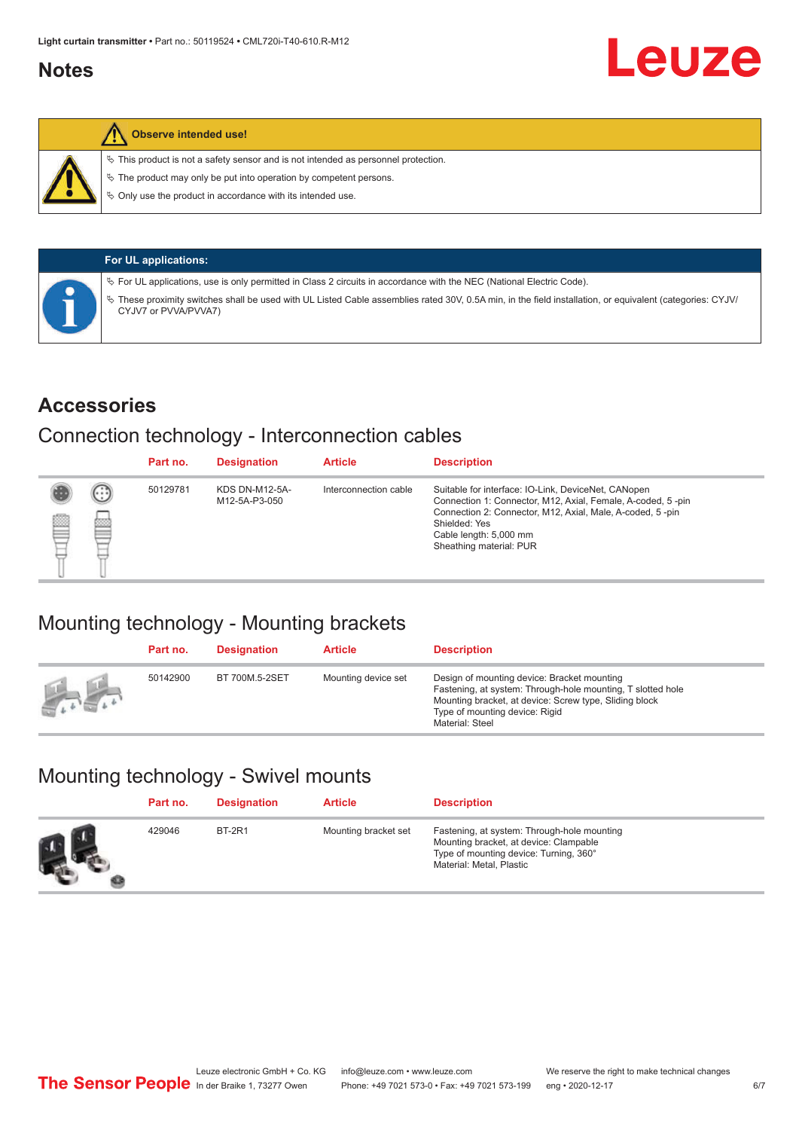#### <span id="page-5-0"></span>**Notes**



#### **Observe intended use!**

 $\%$  This product is not a safety sensor and is not intended as personnel protection.

 $\%$  The product may only be put into operation by competent persons.

 $\%$  Only use the product in accordance with its intended use.

|  | <b>For UL applications:</b>                                                                                                                                                       |
|--|-----------------------------------------------------------------------------------------------------------------------------------------------------------------------------------|
|  | $\%$ For UL applications, use is only permitted in Class 2 circuits in accordance with the NEC (National Electric Code).                                                          |
|  | V These proximity switches shall be used with UL Listed Cable assemblies rated 30V, 0.5A min, in the field installation, or equivalent (categories: CYJV/<br>CYJV7 or PVVA/PVVA7) |

#### **Accessories**

#### Connection technology - Interconnection cables

|   |        | Part no. | <b>Designation</b>                     | <b>Article</b>        | <b>Description</b>                                                                                                                                                                                                                                    |
|---|--------|----------|----------------------------------------|-----------------------|-------------------------------------------------------------------------------------------------------------------------------------------------------------------------------------------------------------------------------------------------------|
| Ø | ⊙<br>œ | 50129781 | <b>KDS DN-M12-5A-</b><br>M12-5A-P3-050 | Interconnection cable | Suitable for interface: IO-Link, DeviceNet, CANopen<br>Connection 1: Connector, M12, Axial, Female, A-coded, 5-pin<br>Connection 2: Connector, M12, Axial, Male, A-coded, 5-pin<br>Shielded: Yes<br>Cable length: 5,000 mm<br>Sheathing material: PUR |

## Mounting technology - Mounting brackets

|               | Part no. | <b>Designation</b> | <b>Article</b>      | <b>Description</b>                                                                                                                                                                                                        |
|---------------|----------|--------------------|---------------------|---------------------------------------------------------------------------------------------------------------------------------------------------------------------------------------------------------------------------|
| <b>Altres</b> | 50142900 | BT 700M.5-2SET     | Mounting device set | Design of mounting device: Bracket mounting<br>Fastening, at system: Through-hole mounting, T slotted hole<br>Mounting bracket, at device: Screw type, Sliding block<br>Type of mounting device: Rigid<br>Material: Steel |

## Mounting technology - Swivel mounts

| Part no. | <b>Designation</b> | <b>Article</b>       | <b>Description</b>                                                                                                                                          |
|----------|--------------------|----------------------|-------------------------------------------------------------------------------------------------------------------------------------------------------------|
| 429046   | <b>BT-2R1</b>      | Mounting bracket set | Fastening, at system: Through-hole mounting<br>Mounting bracket, at device: Clampable<br>Type of mounting device: Turning, 360°<br>Material: Metal, Plastic |

Leuze